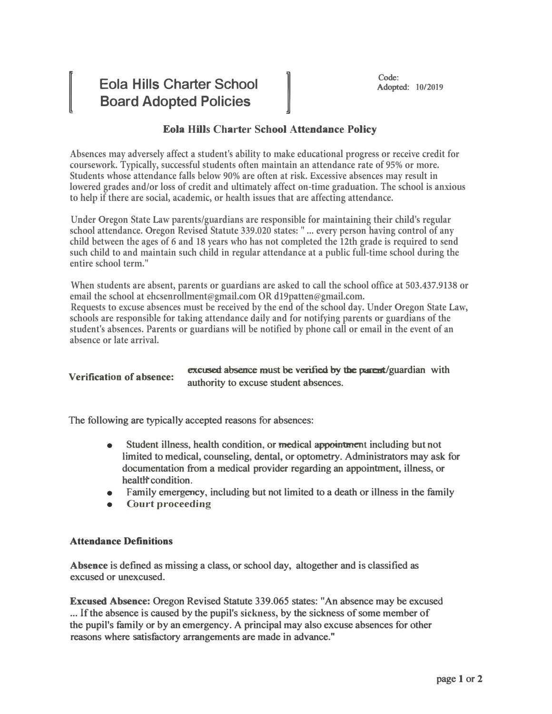# **Eola Hills Charter School Board Adopted Policies**

**IVERSIDE** 

# [Code:<br>
Rdopte<br> **A44** and an a a Paking **Eola Hills Charter School Attendance Policy**

**Absences may adversely affect a student's ability to make educational progress or receive credit for coursework. Typically, successful students often maintain an attendance rate of 95% or more. Students whose attendance falls below 90% are often at risk. Excessive absences may result in lowered grades and/or loss of credit and ultimately affect on-time graduation. The school is anxious to help if there are social, academic, or health issues that are affecting attendance.**

**Under Oregon State Law parents/guardians are responsible for maintaining their child's regular school attendance. Oregon Revised Statute 339.020 states: " ... every person having control of any** child between the ages of 6 and 18 years who has not completed the 12th grade is required to send **such child to and maintain such child in regular attendance at a public full-time school during the entire school term."**

**When students are absent, parents or guardians are asked to call the school office at 503.437.9138 or email the school at ehcsenrollment@gmail.com OR d19patten@gmail.com. Requests to excuse absences must be received by the end of the school day. Under Oregon State Law, schools are responsible for taking attendance daily and for notifying parents or guardians of the** student's absences. Parents or guardians will be notified by phone call or email in the event of an **absence or late arrival.**

```
excused absence must be verified by the parent/guardian with
verification of absence: \frac{6466666}{\text{authority}} to excuse student absences.
```
**The following are typica11y accepted reasons for absences:**

- **Student illness, health condition, or medical appointment including but not limited to medical, counseling, dental, or optometry. Administrators may ask for documentation from a medical provider regarding an appointment, illness, or**  health<sup>\*</sup> condition.
- **• Family emergency, including but not limited to a death or illness in the family**
- **• Court proceeding**

## **Attendance Definitions**

**Absence is defined as missing a class, or school day, altogether and is classified as excused or unexcused.** 

**Excused Absence: Oregon Revised Statute 339.065 states: "An absence may be excused ... If the absence is caused by the pupil's sickness, by the sickness of some member of the pupil's family or by an emergency. A principal may also excuse absences for other reasons where satisfactory arrangements are made in advance."**